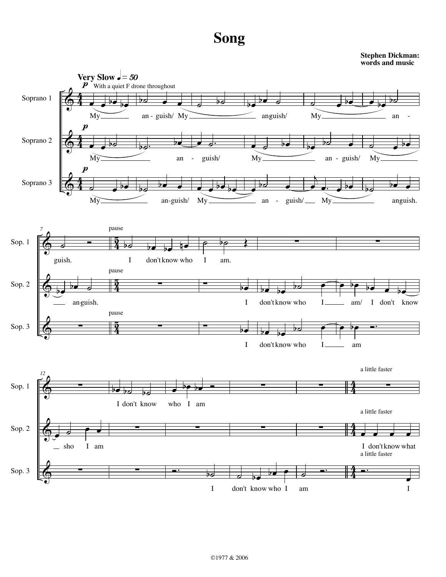## **Song**

**Stephen Dickman: words and music**

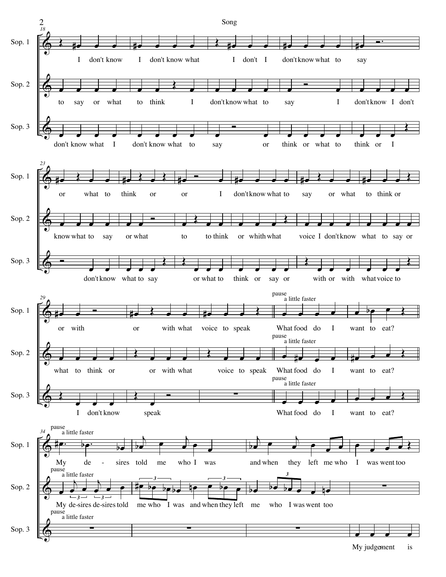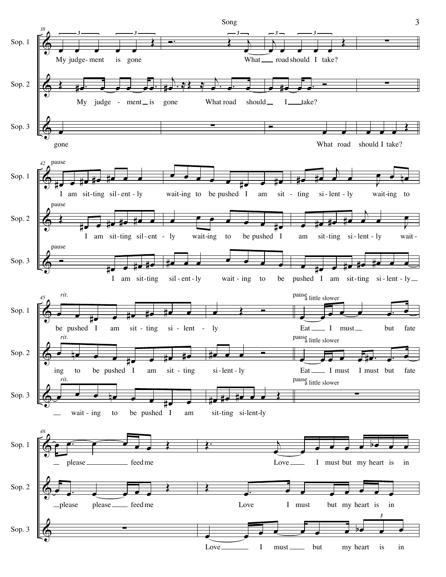